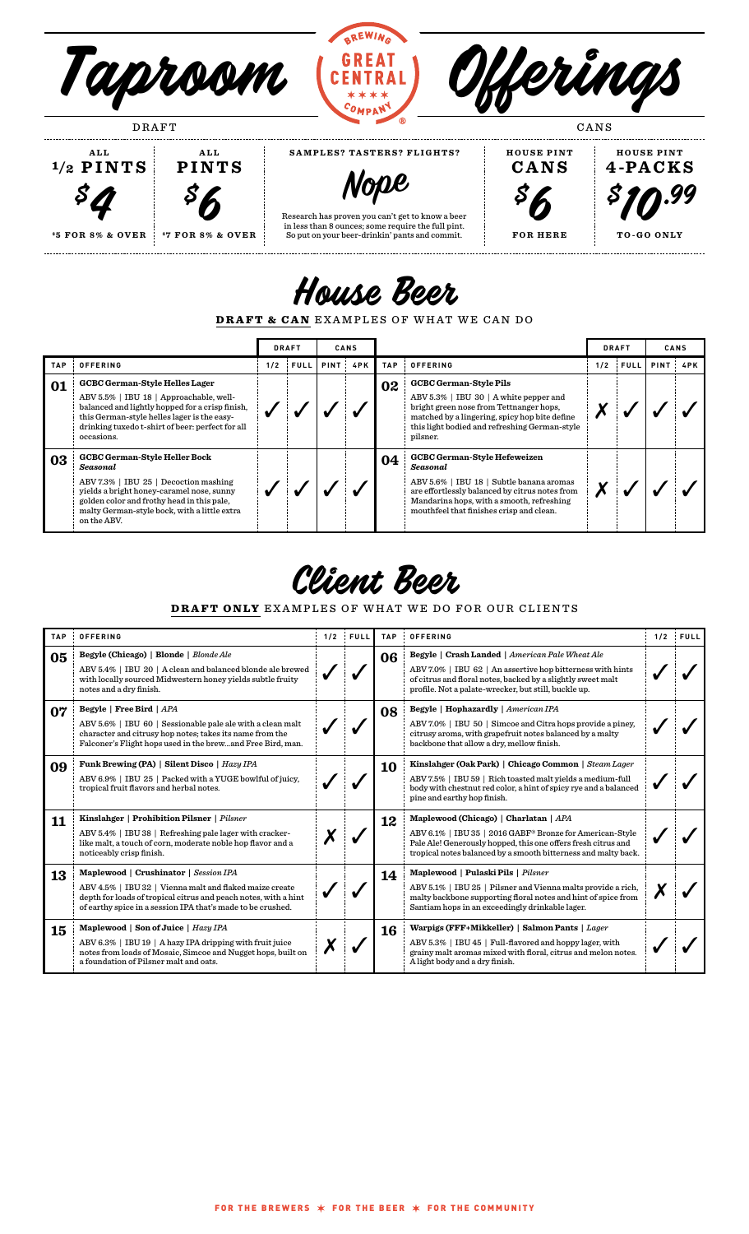

**Nope**

Research has proven you can't get to know a beer in less than 8 ounces; some require the full pint. So put on your beer-drinkin' pants and commit.

 $\mathcal{S}6$ 

**\$ 7 FOR 8% & OVER \$5 FOR 8% & OVER**

**\$4** 



. . . . . . . . . . . . . . .



......................

House Beer

DRAFT & CAN EXAMPLES OF WHAT WE CAN DO

|            |                                                                                                                                                                                                                                                      | <b>DRAFT</b> |             | <b>CANS</b> |            |            |                                                                                                                                                                                                                                        |     | <b>DRAFT</b> |            | CANS |  |
|------------|------------------------------------------------------------------------------------------------------------------------------------------------------------------------------------------------------------------------------------------------------|--------------|-------------|-------------|------------|------------|----------------------------------------------------------------------------------------------------------------------------------------------------------------------------------------------------------------------------------------|-----|--------------|------------|------|--|
| <b>TAP</b> | <b>OFFERING</b>                                                                                                                                                                                                                                      | 1/2          | <b>FULL</b> |             | PINT : 4PK | <b>TAP</b> | <b>OFFERING</b>                                                                                                                                                                                                                        | 1/2 | <b>FULL</b>  | PINT : 4PK |      |  |
| 01         | <b>GCBC German-Style Helles Lager</b><br>ABV 5.5%   IBU 18   Approachable, well-<br>balanced and lightly hopped for a crisp finish,<br>this German-style helles lager is the easy-<br>drinking tuxedo t-shirt of beer: perfect for all<br>occasions. |              |             |             |            | 02         | <b>GCBC German-Style Pils</b><br>ABV 5.3%   IBU 30   A white pepper and<br>bright green nose from Tettnanger hops,<br>matched by a lingering, spicy hop bite define<br>this light bodied and refreshing German-style<br>pilsner.       |     |              |            |      |  |
| 03         | <b>GCBC German-Style Heller Bock</b><br>Seasonal<br>ABV 7.3%   IBU 25   Decoction mashing<br>yields a bright honey-caramel nose, sunny<br>golden color and frothy head in this pale,<br>malty German-style bock, with a little extra<br>on the ABV.  |              |             |             |            | 04         | <b>GCBC German-Style Hefeweizen</b><br>Seasonal<br>ABV 5.6%   IBU 18   Subtle banana aromas<br>are effortlessly balanced by citrus notes from<br>Mandarina hops, with a smooth, refreshing<br>mouthfeel that finishes crisp and clean. |     |              |            |      |  |

Client Beer

DRAFT ONLY EXAMPLES OF WHAT WE DO FOR OUR CLIENTS

| <b>TAP</b> | OFFERING                                                                                                                                                                                                                           | 1/2 | FULL | <b>TAP</b> | <b>OFFERING</b>                                                                                                                                                                                                                             | 1/2 | <b>FULL</b> |
|------------|------------------------------------------------------------------------------------------------------------------------------------------------------------------------------------------------------------------------------------|-----|------|------------|---------------------------------------------------------------------------------------------------------------------------------------------------------------------------------------------------------------------------------------------|-----|-------------|
| 05         | Begyle (Chicago)   Blonde   Blonde Ale<br>ABV 5.4%   IBU 20   A clean and balanced blonde ale brewed<br>with locally sourced Midwestern honey yields subtle fruity<br>notes and a dry finish.                                      |     |      | 06         | <b>Begyle</b>   Crash Landed   American Pale Wheat Ale<br>ABV 7.0%   IBU 62   An assertive hop bitterness with hints<br>of citrus and floral notes, backed by a slightly sweet malt<br>profile. Not a palate-wrecker, but still, buckle up. |     |             |
| 07         | Begyle   Free Bird   APA<br>ABV 5.6%   IBU 60   Sessionable pale ale with a clean malt<br>character and citrusy hop notes; takes its name from the<br>Falconer's Flight hops used in the brewand Free Bird, man.                   |     |      | 08         | Begyle   Hophazardly   American IPA<br>ABV 7.0%   IBU 50   Simcoe and Citra hops provide a piney,<br>citrusy aroma, with grapefruit notes balanced by a malty<br>backbone that allow a dry, mellow finish.                                  |     |             |
| 09         | Funk Brewing (PA)   Silent Disco   Hazy IPA<br>ABV 6.9%   IBU 25   Packed with a YUGE bowlful of juicy,<br>tropical fruit flavors and herbal notes.                                                                                |     |      | 10         | Kinslahger (Oak Park)   Chicago Common   Steam Lager<br>ABV 7.5%   IBU 59   Rich toasted malt yields a medium-full<br>body with chestnut red color, a hint of spicy rye and a balanced<br>pine and earthy hop finish.                       |     |             |
| 11         | Kinslahger   Prohibition Pilsner   Pilsner<br>ABV 5.4%   IBU 38   Refreshing pale lager with cracker-<br>like malt, a touch of corn, moderate noble hop flavor and a<br>noticeably crisp finish.                                   |     |      | 12         | Maplewood (Chicago)   Charlatan   APA<br>ABV 6.1%   IBU 35   2016 GABF® Bronze for American-Style<br>Pale Ale! Generously hopped, this one offers fresh citrus and<br>tropical notes balanced by a smooth bitterness and malty back.        |     |             |
| 13         | Maplewood   Crushinator   Session IPA<br>ABV 4.5%   IBU 32   Vienna malt and flaked maize create<br>depth for loads of tropical citrus and peach notes, with a hint<br>of earthy spice in a session IPA that's made to be crushed. |     |      | 14         | Maplewood   Pulaski Pils   Pilsner<br>ABV 5.1%   IBU 25   Pilsner and Vienna malts provide a rich,<br>malty backbone supporting floral notes and hint of spice from<br>Santiam hops in an exceedingly drinkable lager.                      |     |             |
| 15         | Maplewood   Son of Juice   $\text{Hazy IPA}$<br>ABV 6.3%   IBU 19   A hazy IPA dripping with fruit juice<br>notes from loads of Mosaic, Simcoe and Nugget hops, built on<br>a foundation of Pilsner malt and oats.                 |     |      | 16         | Warpigs (FFF+Mikkeller)   Salmon Pants   Lager<br>ABV 5.3%   IBU 45   Full-flavored and hoppy lager, with<br>grainy malt aromas mixed with floral, citrus and melon notes.<br>A light body and a dry finish.                                |     |             |